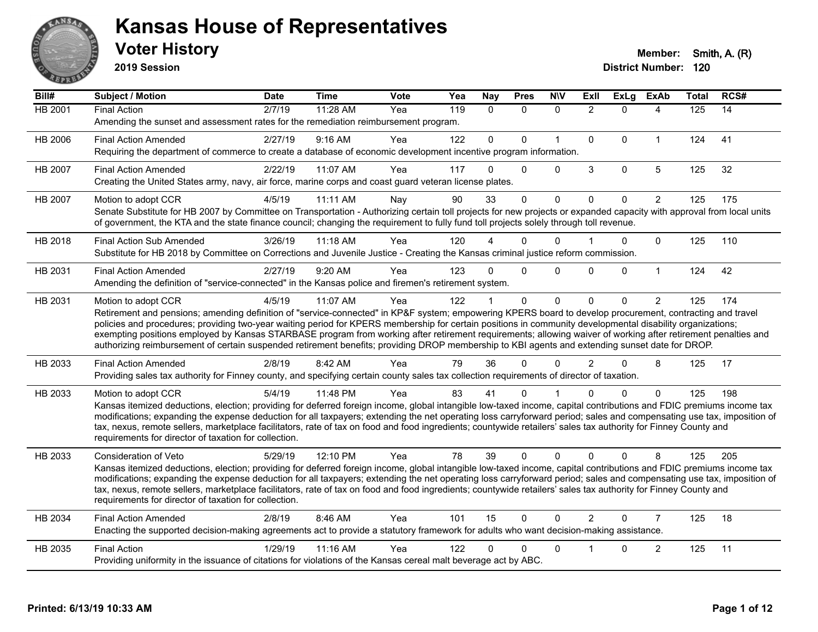

**2019 Session**

| Bill#          | Subject / Motion                                                                                                                                                                                                                                                                                                                                                                                                                                                                                                                                                                                                                                                   | <b>Date</b> | <b>Time</b> | <b>Vote</b> | Yea | <b>Nay</b>   | <b>Pres</b>  | <b>N\V</b>   | ExIl           | <b>ExLg</b> | <b>ExAb</b>    | <b>Total</b> | RCS# |
|----------------|--------------------------------------------------------------------------------------------------------------------------------------------------------------------------------------------------------------------------------------------------------------------------------------------------------------------------------------------------------------------------------------------------------------------------------------------------------------------------------------------------------------------------------------------------------------------------------------------------------------------------------------------------------------------|-------------|-------------|-------------|-----|--------------|--------------|--------------|----------------|-------------|----------------|--------------|------|
| <b>HB 2001</b> | <b>Final Action</b><br>Amending the sunset and assessment rates for the remediation reimbursement program.                                                                                                                                                                                                                                                                                                                                                                                                                                                                                                                                                         | 2/7/19      | 11:28 AM    | Yea         | 119 | $\mathbf{0}$ | $\Omega$     | $\mathbf{0}$ | $\overline{2}$ | $\Omega$    | 4              | 125          | 14   |
| HB 2006        | <b>Final Action Amended</b><br>Requiring the department of commerce to create a database of economic development incentive program information.                                                                                                                                                                                                                                                                                                                                                                                                                                                                                                                    | 2/27/19     | 9:16 AM     | Yea         | 122 | $\mathbf{0}$ | $\Omega$     | $\mathbf{1}$ | $\mathbf 0$    | $\Omega$    | $\mathbf{1}$   | 124          | 41   |
| HB 2007        | <b>Final Action Amended</b><br>Creating the United States army, navy, air force, marine corps and coast guard veteran license plates.                                                                                                                                                                                                                                                                                                                                                                                                                                                                                                                              | 2/22/19     | 11:07 AM    | Yea         | 117 | $\Omega$     | 0            | $\mathbf 0$  | 3              | $\mathbf 0$ | 5              | 125          | 32   |
| <b>HB 2007</b> | Motion to adopt CCR<br>Senate Substitute for HB 2007 by Committee on Transportation - Authorizing certain toll projects for new projects or expanded capacity with approval from local units<br>of government, the KTA and the state finance council; changing the requirement to fully fund toll projects solely through toll revenue.                                                                                                                                                                                                                                                                                                                            | 4/5/19      | 11:11 AM    | Nay         | 90  | 33           | $\Omega$     | $\Omega$     | $\Omega$       | $\Omega$    | $\overline{2}$ | 125          | 175  |
| HB 2018        | <b>Final Action Sub Amended</b><br>Substitute for HB 2018 by Committee on Corrections and Juvenile Justice - Creating the Kansas criminal justice reform commission.                                                                                                                                                                                                                                                                                                                                                                                                                                                                                               | 3/26/19     | 11:18 AM    | Yea         | 120 |              | 0            | $\Omega$     |                | 0           | $\Omega$       | 125          | 110  |
| HB 2031        | <b>Final Action Amended</b><br>Amending the definition of "service-connected" in the Kansas police and firemen's retirement system.                                                                                                                                                                                                                                                                                                                                                                                                                                                                                                                                | 2/27/19     | 9:20 AM     | Yea         | 123 | $\Omega$     | $\Omega$     | $\mathbf{0}$ | $\Omega$       | $\Omega$    | $\mathbf{1}$   | 124          | 42   |
| HB 2031        | Motion to adopt CCR<br>Retirement and pensions; amending definition of "service-connected" in KP&F system; empowering KPERS board to develop procurement, contracting and travel<br>policies and procedures; providing two-year waiting period for KPERS membership for certain positions in community developmental disability organizations;<br>exempting positions employed by Kansas STARBASE program from working after retirement requirements; allowing waiver of working after retirement penalties and<br>authorizing reimbursement of certain suspended retirement benefits; providing DROP membership to KBI agents and extending sunset date for DROP. | 4/5/19      | 11:07 AM    | Yea         | 122 |              | $\mathbf{0}$ | $\Omega$     | $\Omega$       | $\Omega$    | $\overline{2}$ | 125          | 174  |
| HB 2033        | <b>Final Action Amended</b><br>Providing sales tax authority for Finney county, and specifying certain county sales tax collection requirements of director of taxation.                                                                                                                                                                                                                                                                                                                                                                                                                                                                                           | 2/8/19      | 8:42 AM     | Yea         | 79  | 36           | $\Omega$     | $\Omega$     | $\overline{2}$ | $\Omega$    | 8              | 125          | 17   |
| HB 2033        | Motion to adopt CCR<br>Kansas itemized deductions, election; providing for deferred foreign income, global intangible low-taxed income, capital contributions and FDIC premiums income tax<br>modifications; expanding the expense deduction for all taxpayers; extending the net operating loss carryforward period; sales and compensating use tax, imposition of<br>tax, nexus, remote sellers, marketplace facilitators, rate of tax on food and food ingredients; countywide retailers' sales tax authority for Finney County and<br>requirements for director of taxation for collection.                                                                    | 5/4/19      | 11:48 PM    | Yea         | 83  | 41           | 0            |              | n              | $\Omega$    | $\mathbf{0}$   | 125          | 198  |
| HB 2033        | <b>Consideration of Veto</b><br>Kansas itemized deductions, election; providing for deferred foreign income, global intangible low-taxed income, capital contributions and FDIC premiums income tax<br>modifications; expanding the expense deduction for all taxpayers; extending the net operating loss carryforward period; sales and compensating use tax, imposition of<br>tax, nexus, remote sellers, marketplace facilitators, rate of tax on food and food ingredients; countywide retailers' sales tax authority for Finney County and<br>requirements for director of taxation for collection.                                                           | 5/29/19     | 12:10 PM    | Yea         | 78  | 39           | $\Omega$     | $\Omega$     | $\Omega$       | $\Omega$    | 8              | 125          | 205  |
| HB 2034        | <b>Final Action Amended</b><br>Enacting the supported decision-making agreements act to provide a statutory framework for adults who want decision-making assistance.                                                                                                                                                                                                                                                                                                                                                                                                                                                                                              | 2/8/19      | 8:46 AM     | Yea         | 101 | 15           | $\mathbf{0}$ | $\Omega$     | $\overline{2}$ | $\Omega$    | $\overline{7}$ | 125          | 18   |
| HB 2035        | <b>Final Action</b><br>Providing uniformity in the issuance of citations for violations of the Kansas cereal malt beverage act by ABC.                                                                                                                                                                                                                                                                                                                                                                                                                                                                                                                             | 1/29/19     | 11:16 AM    | Yea         | 122 | 0            | 0            | $\Omega$     |                | 0           | 2              | 125          | 11   |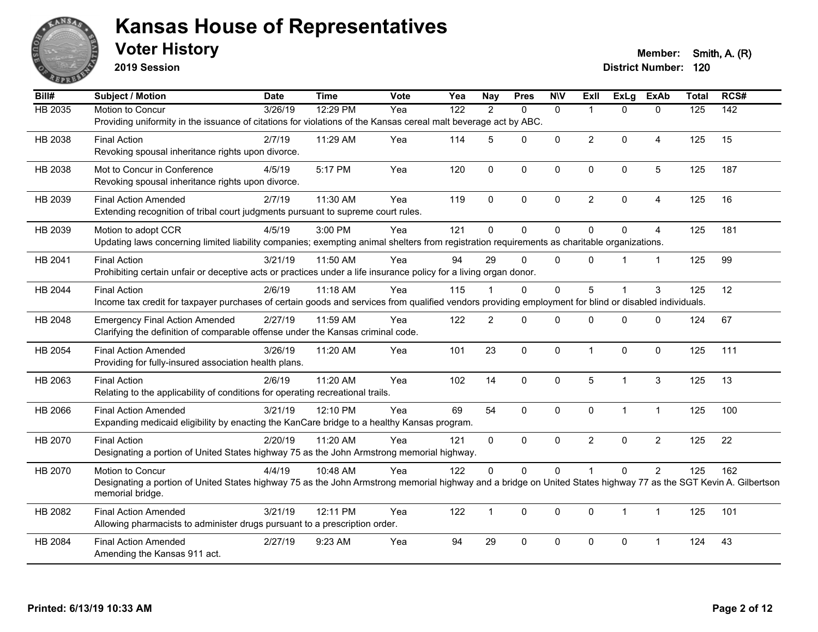

**2019 Session**

| Bill#   | Subject / Motion                                                                                                                                                                                         | <b>Date</b> | <b>Time</b> | Vote | Yea              | <b>Nay</b>     | <b>Pres</b>  | <b>NIV</b>   | ExII           | <b>ExLg</b>  | <b>ExAb</b>    | <b>Total</b> | RCS#             |
|---------|----------------------------------------------------------------------------------------------------------------------------------------------------------------------------------------------------------|-------------|-------------|------|------------------|----------------|--------------|--------------|----------------|--------------|----------------|--------------|------------------|
| HB 2035 | Motion to Concur<br>Providing uniformity in the issuance of citations for violations of the Kansas cereal malt beverage act by ABC.                                                                      | 3/26/19     | 12:29 PM    | Yea  | $\overline{122}$ | $\overline{2}$ | $\mathbf{0}$ | $\mathbf{0}$ |                | $\mathbf{0}$ | $\mathbf{0}$   | 125          | $\overline{142}$ |
| HB 2038 | <b>Final Action</b><br>Revoking spousal inheritance rights upon divorce.                                                                                                                                 | 2/7/19      | 11:29 AM    | Yea  | 114              | 5              | $\Omega$     | $\mathbf{0}$ | $\overline{2}$ | $\Omega$     | 4              | 125          | 15               |
| HB 2038 | Mot to Concur in Conference<br>Revoking spousal inheritance rights upon divorce.                                                                                                                         | 4/5/19      | 5:17 PM     | Yea  | 120              | $\mathbf 0$    | $\mathbf 0$  | 0            | $\Omega$       | $\mathbf 0$  | 5              | 125          | 187              |
| HB 2039 | <b>Final Action Amended</b><br>Extending recognition of tribal court judgments pursuant to supreme court rules.                                                                                          | 2/7/19      | 11:30 AM    | Yea  | 119              | 0              | $\mathbf 0$  | 0            | $\overline{a}$ | $\mathbf 0$  | 4              | 125          | 16               |
| HB 2039 | Motion to adopt CCR<br>Updating laws concerning limited liability companies; exempting animal shelters from registration requirements as charitable organizations.                                       | 4/5/19      | 3:00 PM     | Yea  | 121              | $\Omega$       | $\mathbf{0}$ | $\Omega$     | $\Omega$       | $\Omega$     | 4              | 125          | 181              |
| HB 2041 | <b>Final Action</b><br>Prohibiting certain unfair or deceptive acts or practices under a life insurance policy for a living organ donor.                                                                 | 3/21/19     | 11:50 AM    | Yea  | 94               | 29             | $\Omega$     | $\mathbf{0}$ | $\Omega$       |              | $\mathbf{1}$   | 125          | 99               |
| HB 2044 | <b>Final Action</b><br>Income tax credit for taxpayer purchases of certain goods and services from qualified vendors providing employment for blind or disabled individuals.                             | 2/6/19      | 11:18 AM    | Yea  | 115              |                | $\mathbf{0}$ | 0            | 5              |              | 3              | 125          | 12               |
| HB 2048 | <b>Emergency Final Action Amended</b><br>Clarifying the definition of comparable offense under the Kansas criminal code.                                                                                 | 2/27/19     | 11:59 AM    | Yea  | 122              | $\overline{2}$ | $\mathbf{0}$ | $\Omega$     | $\Omega$       | $\Omega$     | $\mathbf{0}$   | 124          | 67               |
| HB 2054 | <b>Final Action Amended</b><br>Providing for fully-insured association health plans.                                                                                                                     | 3/26/19     | 11:20 AM    | Yea  | 101              | 23             | $\mathbf{0}$ | $\mathbf{0}$ | $\mathbf{1}$   | $\mathbf{0}$ | $\mathbf{0}$   | 125          | 111              |
| HB 2063 | <b>Final Action</b><br>Relating to the applicability of conditions for operating recreational trails.                                                                                                    | 2/6/19      | 11:20 AM    | Yea  | 102              | 14             | $\mathbf 0$  | $\pmb{0}$    | 5              | $\mathbf{1}$ | $\sqrt{3}$     | 125          | 13               |
| HB 2066 | <b>Final Action Amended</b><br>Expanding medicaid eligibility by enacting the KanCare bridge to a healthy Kansas program.                                                                                | 3/21/19     | 12:10 PM    | Yea  | 69               | 54             | $\mathbf{0}$ | $\mathbf{0}$ | $\Omega$       | $\mathbf{1}$ | $\mathbf{1}$   | 125          | 100              |
| HB 2070 | <b>Final Action</b><br>Designating a portion of United States highway 75 as the John Armstrong memorial highway.                                                                                         | 2/20/19     | $11:20$ AM  | Yea  | 121              | 0              | $\mathbf{0}$ | $\Omega$     | $\overline{2}$ | $\mathbf 0$  | $\overline{2}$ | 125          | 22               |
| HB 2070 | Motion to Concur<br>Designating a portion of United States highway 75 as the John Armstrong memorial highway and a bridge on United States highway 77 as the SGT Kevin A. Gilbertson<br>memorial bridge. | 4/4/19      | 10:48 AM    | Yea  | 122              | $\Omega$       | $\pmb{0}$    | 0            |                | $\pmb{0}$    | $\overline{c}$ | 125          | 162              |
| HB 2082 | <b>Final Action Amended</b><br>Allowing pharmacists to administer drugs pursuant to a prescription order.                                                                                                | 3/21/19     | 12:11 PM    | Yea  | 122              | $\mathbf{1}$   | $\mathbf 0$  | $\mathbf 0$  | $\mathbf 0$    | $\mathbf{1}$ | $\mathbf{1}$   | 125          | 101              |
| HB 2084 | <b>Final Action Amended</b><br>Amending the Kansas 911 act.                                                                                                                                              | 2/27/19     | 9:23 AM     | Yea  | 94               | 29             | $\mathbf 0$  | 0            | 0              | $\pmb{0}$    | 1              | 124          | 43               |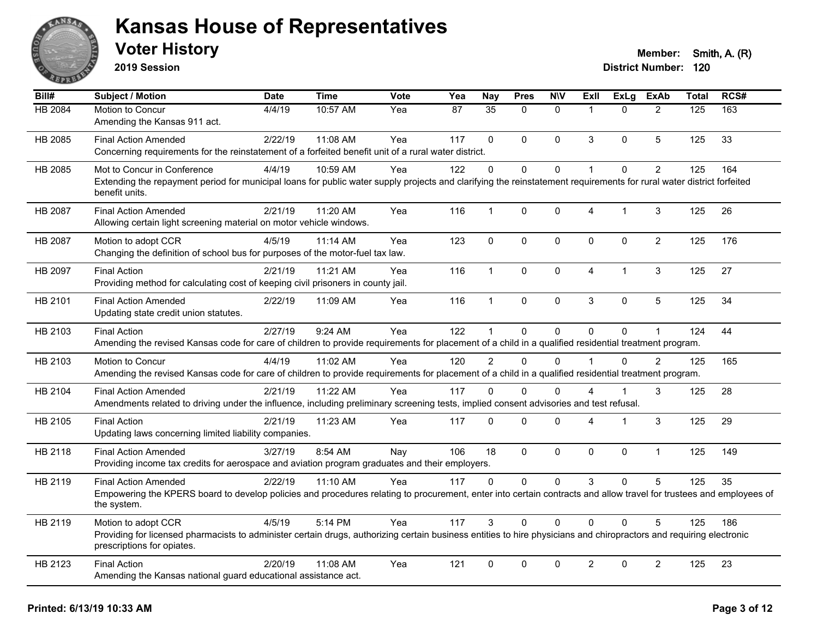

**2019 Session**

| $\overline{Bill#}$ | Subject / Motion                                                                                                                                                                                  | <b>Date</b> | <b>Time</b> | Vote | Yea | <b>Nay</b>      | <b>Pres</b>  | <b>NIV</b>   | <b>Exll</b>          | ExLg           | <b>ExAb</b>    | <b>Total</b> | RCS# |
|--------------------|---------------------------------------------------------------------------------------------------------------------------------------------------------------------------------------------------|-------------|-------------|------|-----|-----------------|--------------|--------------|----------------------|----------------|----------------|--------------|------|
| HB 2084            | Motion to Concur                                                                                                                                                                                  | 4/4/19      | 10:57 AM    | Yea  | 87  | $\overline{35}$ | $\Omega$     | $\mathbf{0}$ | $\blacktriangleleft$ | $\Omega$       | 2              | 125          | 163  |
|                    | Amending the Kansas 911 act.                                                                                                                                                                      |             |             |      |     |                 |              |              |                      |                |                |              |      |
| HB 2085            | <b>Final Action Amended</b>                                                                                                                                                                       | 2/22/19     | 11:08 AM    | Yea  | 117 | $\mathbf{0}$    | $\Omega$     | $\mathbf{0}$ | 3                    | $\Omega$       | 5              | 125          | 33   |
|                    | Concerning requirements for the reinstatement of a forfeited benefit unit of a rural water district.                                                                                              |             |             |      |     |                 |              |              |                      |                |                |              |      |
| HB 2085            | Mot to Concur in Conference                                                                                                                                                                       | 4/4/19      | 10:59 AM    | Yea  | 122 | $\mathbf 0$     | $\mathbf 0$  | $\pmb{0}$    | 1                    | $\Omega$       | $\overline{c}$ | 125          | 164  |
|                    | Extending the repayment period for municipal loans for public water supply projects and clarifying the reinstatement requirements for rural water district forfeited<br>benefit units.            |             |             |      |     |                 |              |              |                      |                |                |              |      |
| HB 2087            | <b>Final Action Amended</b>                                                                                                                                                                       | 2/21/19     | 11:20 AM    | Yea  | 116 | 1               | $\mathbf 0$  | $\mathbf 0$  | 4                    | $\overline{1}$ | $\mathfrak{S}$ | 125          | 26   |
|                    | Allowing certain light screening material on motor vehicle windows.                                                                                                                               |             |             |      |     |                 |              |              |                      |                |                |              |      |
| HB 2087            | Motion to adopt CCR                                                                                                                                                                               | 4/5/19      | 11:14 AM    | Yea  | 123 | $\mathbf 0$     | $\mathbf 0$  | $\mathbf 0$  | $\mathbf 0$          | $\mathbf 0$    | $\overline{2}$ | 125          | 176  |
|                    | Changing the definition of school bus for purposes of the motor-fuel tax law.                                                                                                                     |             |             |      |     |                 |              |              |                      |                |                |              |      |
| HB 2097            | <b>Final Action</b>                                                                                                                                                                               | 2/21/19     | 11:21 AM    | Yea  | 116 | $\mathbf{1}$    | $\Omega$     | $\mathbf 0$  | 4                    | $\mathbf{1}$   | $\mathbf{3}$   | 125          | 27   |
|                    | Providing method for calculating cost of keeping civil prisoners in county jail.                                                                                                                  |             |             |      |     |                 |              |              |                      |                |                |              |      |
| HB 2101            | <b>Final Action Amended</b>                                                                                                                                                                       | 2/22/19     | 11:09 AM    | Yea  | 116 | 1               | $\mathbf 0$  | $\mathbf 0$  | 3                    | 0              | $\overline{5}$ | 125          | 34   |
|                    | Updating state credit union statutes.                                                                                                                                                             |             |             |      |     |                 |              |              |                      |                |                |              |      |
| HB 2103            | <b>Final Action</b>                                                                                                                                                                               | 2/27/19     | 9:24 AM     | Yea  | 122 | $\mathbf{1}$    | $\mathbf 0$  | $\mathbf{0}$ | $\overline{0}$       | 0              | $\mathbf{1}$   | 124          | 44   |
|                    | Amending the revised Kansas code for care of children to provide requirements for placement of a child in a qualified residential treatment program.                                              |             |             |      |     |                 |              |              |                      |                |                |              |      |
| HB 2103            | Motion to Concur                                                                                                                                                                                  | 4/4/19      | 11:02 AM    | Yea  | 120 | $\overline{2}$  | $\Omega$     | $\Omega$     |                      | $\mathbf{0}$   | 2              | 125          | 165  |
|                    | Amending the revised Kansas code for care of children to provide requirements for placement of a child in a qualified residential treatment program.                                              |             |             |      |     |                 |              |              |                      |                |                |              |      |
| HB 2104            | <b>Final Action Amended</b>                                                                                                                                                                       | 2/21/19     | 11:22 AM    | Yea  | 117 | $\Omega$        | $\mathbf 0$  | 0            | 4                    | $\mathbf{1}$   | 3              | 125          | 28   |
|                    | Amendments related to driving under the influence, including preliminary screening tests, implied consent advisories and test refusal.                                                            |             |             |      |     |                 |              |              |                      |                |                |              |      |
| HB 2105            | <b>Final Action</b>                                                                                                                                                                               | 2/21/19     | 11:23 AM    | Yea  | 117 | $\Omega$        | $\Omega$     | $\mathbf 0$  | 4                    | $\overline{1}$ | $\mathbf{3}$   | 125          | 29   |
|                    | Updating laws concerning limited liability companies.                                                                                                                                             |             |             |      |     |                 |              |              |                      |                |                |              |      |
| HB 2118            | <b>Final Action Amended</b>                                                                                                                                                                       | 3/27/19     | 8:54 AM     | Nay  | 106 | 18              | $\mathbf{0}$ | $\mathbf{0}$ | $\mathbf{0}$         | $\mathbf{0}$   | $\mathbf{1}$   | 125          | 149  |
|                    | Providing income tax credits for aerospace and aviation program graduates and their employers.                                                                                                    |             |             |      |     |                 |              |              |                      |                |                |              |      |
| HB 2119            | <b>Final Action Amended</b>                                                                                                                                                                       | 2/22/19     | $11:10$ AM  | Yea  | 117 | $\Omega$        | $\Omega$     | $\Omega$     | 3                    | $\Omega$       | 5              | 125          | 35   |
|                    | Empowering the KPERS board to develop policies and procedures relating to procurement, enter into certain contracts and allow travel for trustees and employees of<br>the system.                 |             |             |      |     |                 |              |              |                      |                |                |              |      |
| HB 2119            | Motion to adopt CCR                                                                                                                                                                               | 4/5/19      | 5:14 PM     | Yea  | 117 | 3               | $\Omega$     | $\Omega$     | $\Omega$             | $\Omega$       | 5              | 125          | 186  |
|                    | Providing for licensed pharmacists to administer certain drugs, authorizing certain business entities to hire physicians and chiropractors and requiring electronic<br>prescriptions for opiates. |             |             |      |     |                 |              |              |                      |                |                |              |      |
| HB 2123            | <b>Final Action</b>                                                                                                                                                                               | 2/20/19     | 11:08 AM    | Yea  | 121 | $\mathbf 0$     | $\mathbf 0$  | $\mathbf 0$  | $\overline{2}$       | 0              | $\overline{2}$ | 125          | 23   |
|                    | Amending the Kansas national guard educational assistance act.                                                                                                                                    |             |             |      |     |                 |              |              |                      |                |                |              |      |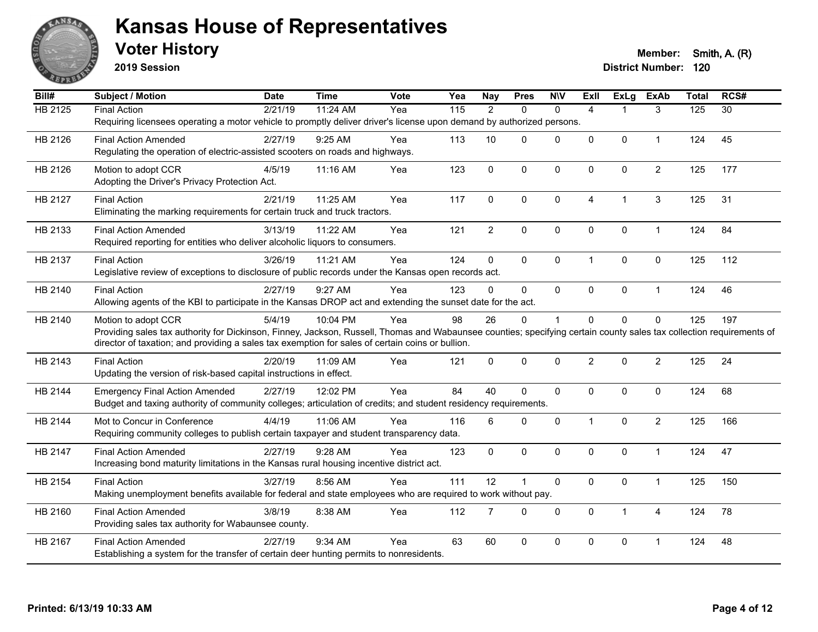

**2019 Session**

| Bill#          | Subject / Motion                                                                                                                                                     | <b>Date</b> | <b>Time</b> | <b>Vote</b> | Yea | <b>Nay</b>     | <b>Pres</b>  | <b>NIV</b>   | ExII           | <b>ExLg</b>  | <b>ExAb</b>    | <b>Total</b>   | RCS#            |
|----------------|----------------------------------------------------------------------------------------------------------------------------------------------------------------------|-------------|-------------|-------------|-----|----------------|--------------|--------------|----------------|--------------|----------------|----------------|-----------------|
| <b>HB 2125</b> | <b>Final Action</b>                                                                                                                                                  | 2/21/19     | 11:24 AM    | Yea         | 115 | $\overline{2}$ | $\mathbf{0}$ | $\Omega$     | $\overline{4}$ | 1            | 3              | $\frac{1}{25}$ | $\overline{30}$ |
|                | Requiring licensees operating a motor vehicle to promptly deliver driver's license upon demand by authorized persons.                                                |             |             |             |     |                |              |              |                |              |                |                |                 |
| HB 2126        | <b>Final Action Amended</b>                                                                                                                                          | 2/27/19     | 9:25 AM     | Yea         | 113 | 10             | $\Omega$     | $\Omega$     | $\mathbf 0$    | $\mathbf{0}$ | $\mathbf 1$    | 124            | 45              |
|                | Regulating the operation of electric-assisted scooters on roads and highways.                                                                                        |             |             |             |     |                |              |              |                |              |                |                |                 |
| HB 2126        | Motion to adopt CCR                                                                                                                                                  | 4/5/19      | 11:16 AM    | Yea         | 123 | $\mathbf 0$    | $\mathbf 0$  | $\mathbf 0$  | $\mathbf 0$    | $\mathbf{0}$ | $\overline{2}$ | 125            | 177             |
|                | Adopting the Driver's Privacy Protection Act.                                                                                                                        |             |             |             |     |                |              |              |                |              |                |                |                 |
| HB 2127        | <b>Final Action</b>                                                                                                                                                  | 2/21/19     | 11:25 AM    | Yea         | 117 | $\mathbf 0$    | 0            | $\mathbf 0$  | $\overline{4}$ | 1            | 3              | 125            | 31              |
|                | Eliminating the marking requirements for certain truck and truck tractors.                                                                                           |             |             |             |     |                |              |              |                |              |                |                |                 |
| HB 2133        | <b>Final Action Amended</b>                                                                                                                                          | 3/13/19     | 11:22 AM    | Yea         | 121 | $\overline{2}$ | 0            | $\mathbf 0$  | $\mathbf 0$    | $\mathbf{0}$ | $\mathbf{1}$   | 124            | 84              |
|                | Required reporting for entities who deliver alcoholic liquors to consumers.                                                                                          |             |             |             |     |                |              |              |                |              |                |                |                 |
|                |                                                                                                                                                                      |             |             |             |     |                |              |              |                |              |                |                |                 |
| HB 2137        | <b>Final Action</b><br>Legislative review of exceptions to disclosure of public records under the Kansas open records act.                                           | 3/26/19     | 11:21 AM    | Yea         | 124 | $\mathbf 0$    | $\mathbf 0$  | $\mathbf 0$  | $\mathbf{1}$   | $\mathbf{0}$ | $\mathbf 0$    | 125            | 112             |
|                |                                                                                                                                                                      |             |             |             |     |                |              |              |                |              |                |                |                 |
| HB 2140        | <b>Final Action</b>                                                                                                                                                  | 2/27/19     | 9:27 AM     | Yea         | 123 | $\Omega$       | $\mathbf{0}$ | $\Omega$     | $\mathbf{0}$   | $\mathbf{0}$ | $\mathbf{1}$   | 124            | 46              |
|                | Allowing agents of the KBI to participate in the Kansas DROP act and extending the sunset date for the act.                                                          |             |             |             |     |                |              |              |                |              |                |                |                 |
| HB 2140        | Motion to adopt CCR                                                                                                                                                  | 5/4/19      | 10:04 PM    | Yea         | 98  | 26             | 0            | $\mathbf{1}$ | $\mathbf 0$    | $\mathbf 0$  | $\mathbf 0$    | 125            | 197             |
|                | Providing sales tax authority for Dickinson, Finney, Jackson, Russell, Thomas and Wabaunsee counties; specifying certain county sales tax collection requirements of |             |             |             |     |                |              |              |                |              |                |                |                 |
|                | director of taxation; and providing a sales tax exemption for sales of certain coins or bullion.                                                                     |             |             |             |     |                |              |              |                |              |                |                |                 |
| HB 2143        | <b>Final Action</b>                                                                                                                                                  | 2/20/19     | 11:09 AM    | Yea         | 121 | $\mathbf{0}$   | $\Omega$     | $\mathbf 0$  | $\overline{2}$ | $\mathbf{0}$ | $\overline{2}$ | 125            | 24              |
|                | Updating the version of risk-based capital instructions in effect.                                                                                                   |             |             |             |     |                |              |              |                |              |                |                |                 |
| HB 2144        | <b>Emergency Final Action Amended</b>                                                                                                                                | 2/27/19     | 12:02 PM    | Yea         | 84  | 40             | 0            | $\mathbf 0$  | $\mathbf 0$    | $\mathbf{0}$ | $\mathbf 0$    | 124            | 68              |
|                | Budget and taxing authority of community colleges; articulation of credits; and student residency requirements.                                                      |             |             |             |     |                |              |              |                |              |                |                |                 |
| HB 2144        | Mot to Concur in Conference                                                                                                                                          | 4/4/19      | 11:06 AM    | Yea         | 116 | 6              | $\mathbf{0}$ | $\mathbf{0}$ | $\mathbf{1}$   | $\mathbf{0}$ | $\overline{2}$ | 125            | 166             |
|                | Requiring community colleges to publish certain taxpayer and student transparency data.                                                                              |             |             |             |     |                |              |              |                |              |                |                |                 |
| HB 2147        | <b>Final Action Amended</b>                                                                                                                                          | 2/27/19     | $9:28$ AM   | Yea         | 123 | $\mathbf{0}$   | $\mathbf 0$  | $\mathbf{0}$ | $\mathbf 0$    | $\mathbf 0$  | $\mathbf{1}$   | 124            | 47              |
|                | Increasing bond maturity limitations in the Kansas rural housing incentive district act.                                                                             |             |             |             |     |                |              |              |                |              |                |                |                 |
| HB 2154        | <b>Final Action</b>                                                                                                                                                  | 3/27/19     | 8:56 AM     | Yea         | 111 | 12             | 1            | $\mathbf 0$  | $\mathbf 0$    | $\mathbf 0$  | $\mathbf{1}$   | 125            | 150             |
|                | Making unemployment benefits available for federal and state employees who are required to work without pay.                                                         |             |             |             |     |                |              |              |                |              |                |                |                 |
|                |                                                                                                                                                                      |             |             |             |     |                |              |              |                |              |                |                |                 |
| HB 2160        | <b>Final Action Amended</b>                                                                                                                                          | 3/8/19      | 8:38 AM     | Yea         | 112 | $\overline{7}$ | $\Omega$     | $\mathbf 0$  | $\mathbf{0}$   | $\mathbf{1}$ | 4              | 124            | 78              |
|                | Providing sales tax authority for Wabaunsee county.                                                                                                                  |             |             |             |     |                |              |              |                |              |                |                |                 |
| HB 2167        | <b>Final Action Amended</b>                                                                                                                                          | 2/27/19     | 9:34 AM     | Yea         | 63  | 60             | 0            | 0            | 0              | $\mathbf 0$  | 1              | 124            | 48              |
|                | Establishing a system for the transfer of certain deer hunting permits to nonresidents.                                                                              |             |             |             |     |                |              |              |                |              |                |                |                 |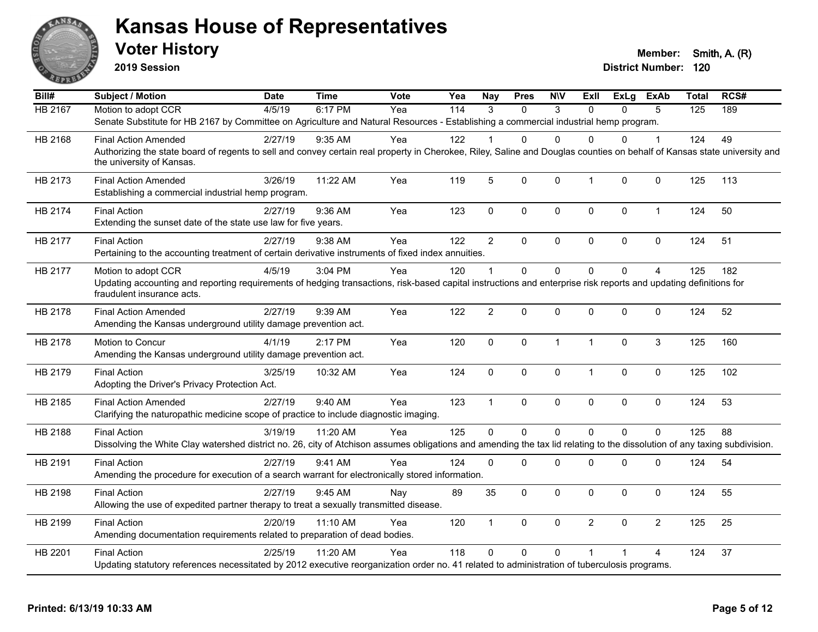

**2019 Session**

| Bill#          | <b>Subject / Motion</b>                                                                                                                                                                               | <b>Date</b> | <b>Time</b> | Vote | Yea | <b>Nay</b>     | <b>Pres</b> | <b>NIV</b>   | ExII           | ExLg         | <b>ExAb</b>    | <b>Total</b> | RCS# |
|----------------|-------------------------------------------------------------------------------------------------------------------------------------------------------------------------------------------------------|-------------|-------------|------|-----|----------------|-------------|--------------|----------------|--------------|----------------|--------------|------|
| <b>HB 2167</b> | Motion to adopt CCR                                                                                                                                                                                   | 4/5/19      | 6:17 PM     | Yea  | 114 | $\mathcal{R}$  | $\Omega$    | 3            | $\Omega$       | $\Omega$     | 5              | 125          | 189  |
|                | Senate Substitute for HB 2167 by Committee on Agriculture and Natural Resources - Establishing a commercial industrial hemp program.                                                                  |             |             |      |     |                |             |              |                |              |                |              |      |
| HB 2168        | <b>Final Action Amended</b>                                                                                                                                                                           | 2/27/19     | $9:35$ AM   | Yea  | 122 |                | 0           | $\Omega$     | $\Omega$       | $\Omega$     |                | 124          | 49   |
|                | Authorizing the state board of regents to sell and convey certain real property in Cherokee, Riley, Saline and Douglas counties on behalf of Kansas state university and<br>the university of Kansas. |             |             |      |     |                |             |              |                |              |                |              |      |
| HB 2173        | <b>Final Action Amended</b><br>Establishing a commercial industrial hemp program.                                                                                                                     | 3/26/19     | 11:22 AM    | Yea  | 119 | 5              | 0           | 0            | $\mathbf{1}$   | $\mathbf{0}$ | $\mathbf 0$    | 125          | 113  |
| HB 2174        | <b>Final Action</b><br>Extending the sunset date of the state use law for five years.                                                                                                                 | 2/27/19     | 9:36 AM     | Yea  | 123 | $\mathbf 0$    | 0           | 0            | $\mathbf 0$    | $\mathbf 0$  | $\mathbf{1}$   | 124          | 50   |
| HB 2177        | <b>Final Action</b>                                                                                                                                                                                   | 2/27/19     | 9:38 AM     | Yea  | 122 | $\overline{2}$ | $\Omega$    | 0            | $\mathbf 0$    | $\Omega$     | $\mathbf 0$    | 124          | 51   |
|                | Pertaining to the accounting treatment of certain derivative instruments of fixed index annuities.                                                                                                    |             |             |      |     |                |             |              |                |              |                |              |      |
| HB 2177        | Motion to adopt CCR                                                                                                                                                                                   | 4/5/19      | 3:04 PM     | Yea  | 120 |                | $\Omega$    | 0            | $\Omega$       | $\Omega$     | $\overline{A}$ | 125          | 182  |
|                | Updating accounting and reporting requirements of hedging transactions, risk-based capital instructions and enterprise risk reports and updating definitions for<br>fraudulent insurance acts.        |             |             |      |     |                |             |              |                |              |                |              |      |
| HB 2178        | <b>Final Action Amended</b><br>Amending the Kansas underground utility damage prevention act.                                                                                                         | 2/27/19     | 9:39 AM     | Yea  | 122 | $\overline{2}$ | 0           | 0            | $\Omega$       | $\Omega$     | 0              | 124          | 52   |
|                |                                                                                                                                                                                                       |             |             |      |     |                |             |              |                |              |                |              |      |
| HB 2178        | Motion to Concur<br>Amending the Kansas underground utility damage prevention act.                                                                                                                    | 4/1/19      | 2:17 PM     | Yea  | 120 | $\mathbf 0$    | 0           | $\mathbf{1}$ | $\mathbf{1}$   | $\Omega$     | 3              | 125          | 160  |
| HB 2179        | <b>Final Action</b><br>Adopting the Driver's Privacy Protection Act.                                                                                                                                  | 3/25/19     | 10:32 AM    | Yea  | 124 | $\mathbf 0$    | 0           | 0            | $\mathbf{1}$   | $\mathbf 0$  | 0              | 125          | 102  |
| HB 2185        | <b>Final Action Amended</b>                                                                                                                                                                           | 2/27/19     | 9:40 AM     | Yea  | 123 | $\overline{1}$ | 0           | 0            | $\mathbf 0$    | $\mathbf 0$  | 0              | 124          | 53   |
|                | Clarifying the naturopathic medicine scope of practice to include diagnostic imaging.                                                                                                                 |             |             |      |     |                |             |              |                |              |                |              |      |
| HB 2188        | <b>Final Action</b>                                                                                                                                                                                   | 3/19/19     | 11:20 AM    | Yea  | 125 | $\Omega$       | 0           | $\mathbf 0$  | $\Omega$       | $\Omega$     | $\overline{0}$ | 125          | 88   |
|                | Dissolving the White Clay watershed district no. 26, city of Atchison assumes obligations and amending the tax lid relating to the dissolution of any taxing subdivision.                             |             |             |      |     |                |             |              |                |              |                |              |      |
| HB 2191        | <b>Final Action</b>                                                                                                                                                                                   | 2/27/19     | 9:41 AM     | Yea  | 124 | $\Omega$       | $\Omega$    | 0            | $\mathbf 0$    | $\Omega$     | 0              | 124          | 54   |
|                | Amending the procedure for execution of a search warrant for electronically stored information.                                                                                                       |             |             |      |     |                |             |              |                |              |                |              |      |
| HB 2198        | <b>Final Action</b>                                                                                                                                                                                   | 2/27/19     | 9:45 AM     | Nay  | 89  | 35             | $\Omega$    | 0            | $\mathbf{0}$   | $\Omega$     | $\Omega$       | 124          | 55   |
|                | Allowing the use of expedited partner therapy to treat a sexually transmitted disease.                                                                                                                |             |             |      |     |                |             |              |                |              |                |              |      |
| HB 2199        | <b>Final Action</b>                                                                                                                                                                                   | 2/20/19     | $11:10$ AM  | Yea  | 120 | $\mathbf{1}$   | 0           | 0            | $\overline{2}$ | $\Omega$     | $\overline{2}$ | 125          | 25   |
|                | Amending documentation requirements related to preparation of dead bodies.                                                                                                                            |             |             |      |     |                |             |              |                |              |                |              |      |
| HB 2201        | <b>Final Action</b>                                                                                                                                                                                   | 2/25/19     | 11:20 AM    | Yea  | 118 | $\Omega$       | $\Omega$    | $\Omega$     |                |              | 4              | 124          | 37   |
|                | Updating statutory references necessitated by 2012 executive reorganization order no. 41 related to administration of tuberculosis programs.                                                          |             |             |      |     |                |             |              |                |              |                |              |      |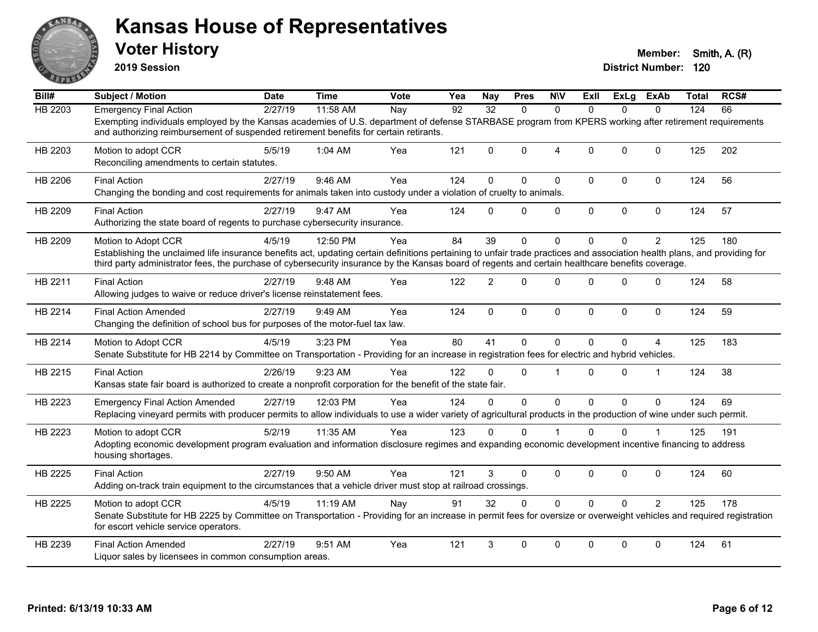

**2019 Session**

| Bill#          | <b>Subject / Motion</b>                                                                                                                                                                                                                                                                                                                              | Date    | <b>Time</b> | <b>Vote</b> | Yea | <b>Nay</b>      | <b>Pres</b> | <b>N\V</b>     | ExII         |              | ExLg ExAb      | Total | RCS# |
|----------------|------------------------------------------------------------------------------------------------------------------------------------------------------------------------------------------------------------------------------------------------------------------------------------------------------------------------------------------------------|---------|-------------|-------------|-----|-----------------|-------------|----------------|--------------|--------------|----------------|-------|------|
| <b>HB 2203</b> | <b>Emergency Final Action</b>                                                                                                                                                                                                                                                                                                                        | 2/27/19 | 11:58 AM    | Nay         | 92  | $\overline{32}$ | $\Omega$    | $\Omega$       | $\Omega$     | $\Omega$     | $\Omega$       | 124   | 66   |
|                | Exempting individuals employed by the Kansas academies of U.S. department of defense STARBASE program from KPERS working after retirement requirements<br>and authorizing reimbursement of suspended retirement benefits for certain retirants.                                                                                                      |         |             |             |     |                 |             |                |              |              |                |       |      |
| HB 2203        | Motion to adopt CCR<br>Reconciling amendments to certain statutes.                                                                                                                                                                                                                                                                                   | 5/5/19  | 1:04 AM     | Yea         | 121 | $\Omega$        | $\Omega$    | $\overline{4}$ | $\Omega$     | $\mathbf{0}$ | $\Omega$       | 125   | 202  |
| HB 2206        | <b>Final Action</b><br>Changing the bonding and cost requirements for animals taken into custody under a violation of cruelty to animals.                                                                                                                                                                                                            | 2/27/19 | 9:46 AM     | Yea         | 124 | 0               | $\Omega$    | $\pmb{0}$      | 0            | 0            | $\pmb{0}$      | 124   | 56   |
| HB 2209        | <b>Final Action</b><br>Authorizing the state board of regents to purchase cybersecurity insurance.                                                                                                                                                                                                                                                   | 2/27/19 | 9:47 AM     | Yea         | 124 | $\Omega$        | $\Omega$    | $\mathbf 0$    | $\mathbf 0$  | 0            | $\mathbf 0$    | 124   | 57   |
| HB 2209        | Motion to Adopt CCR<br>Establishing the unclaimed life insurance benefits act, updating certain definitions pertaining to unfair trade practices and association health plans, and providing for<br>third party administrator fees, the purchase of cybersecurity insurance by the Kansas board of regents and certain healthcare benefits coverage. | 4/5/19  | 12:50 PM    | Yea         | 84  | 39              | $\Omega$    | $\mathbf{0}$   | $\Omega$     | $\Omega$     | $\overline{2}$ | 125   | 180  |
| HB 2211        | <b>Final Action</b><br>Allowing judges to waive or reduce driver's license reinstatement fees.                                                                                                                                                                                                                                                       | 2/27/19 | 9:48 AM     | Yea         | 122 | $\overline{2}$  | $\Omega$    | $\mathbf{0}$   | $\Omega$     | $\mathbf{0}$ | $\mathbf 0$    | 124   | 58   |
| HB 2214        | <b>Final Action Amended</b><br>Changing the definition of school bus for purposes of the motor-fuel tax law.                                                                                                                                                                                                                                         | 2/27/19 | 9:49 AM     | Yea         | 124 | $\mathbf{0}$    | $\Omega$    | $\mathbf{0}$   | $\mathbf{0}$ | $\Omega$     | $\Omega$       | 124   | 59   |
| HB 2214        | Motion to Adopt CCR<br>Senate Substitute for HB 2214 by Committee on Transportation - Providing for an increase in registration fees for electric and hybrid vehicles.                                                                                                                                                                               | 4/5/19  | 3:23 PM     | Yea         | 80  | 41              | $\Omega$    | $\mathbf{0}$   | $\mathbf{0}$ | $\mathbf{0}$ | $\overline{4}$ | 125   | 183  |
| HB 2215        | <b>Final Action</b><br>Kansas state fair board is authorized to create a nonprofit corporation for the benefit of the state fair.                                                                                                                                                                                                                    | 2/26/19 | 9:23 AM     | Yea         | 122 | 0               | $\Omega$    | $\overline{1}$ | $\Omega$     | $\Omega$     | $\mathbf 1$    | 124   | 38   |
| HB 2223        | <b>Emergency Final Action Amended</b><br>Replacing vineyard permits with producer permits to allow individuals to use a wider variety of agricultural products in the production of wine under such permit.                                                                                                                                          | 2/27/19 | 12:03 PM    | Yea         | 124 | $\Omega$        | $\Omega$    | $\mathbf 0$    | $\Omega$     | $\Omega$     | $\mathbf{0}$   | 124   | 69   |
| HB 2223        | Motion to adopt CCR<br>Adopting economic development program evaluation and information disclosure regimes and expanding economic development incentive financing to address<br>housing shortages.                                                                                                                                                   | 5/2/19  | 11:35 AM    | Yea         | 123 | $\Omega$        | $\Omega$    |                | $\Omega$     | $\mathbf 0$  |                | 125   | 191  |
| HB 2225        | <b>Final Action</b><br>Adding on-track train equipment to the circumstances that a vehicle driver must stop at railroad crossings.                                                                                                                                                                                                                   | 2/27/19 | 9:50 AM     | Yea         | 121 | 3               | $\Omega$    | $\mathbf 0$    | $\Omega$     | $\mathbf 0$  | $\mathbf 0$    | 124   | 60   |
| HB 2225        | Motion to adopt CCR<br>Senate Substitute for HB 2225 by Committee on Transportation - Providing for an increase in permit fees for oversize or overweight vehicles and required registration<br>for escort vehicle service operators.                                                                                                                | 4/5/19  | 11:19 AM    | Nay         | 91  | 32              | $\Omega$    | $\mathbf 0$    | $\Omega$     | $\Omega$     | $\overline{2}$ | 125   | 178  |
| HB 2239        | <b>Final Action Amended</b><br>Liquor sales by licensees in common consumption areas.                                                                                                                                                                                                                                                                | 2/27/19 | 9:51 AM     | Yea         | 121 | 3               | $\Omega$    | $\mathbf{0}$   | 0            | $\Omega$     | $\Omega$       | 124   | 61   |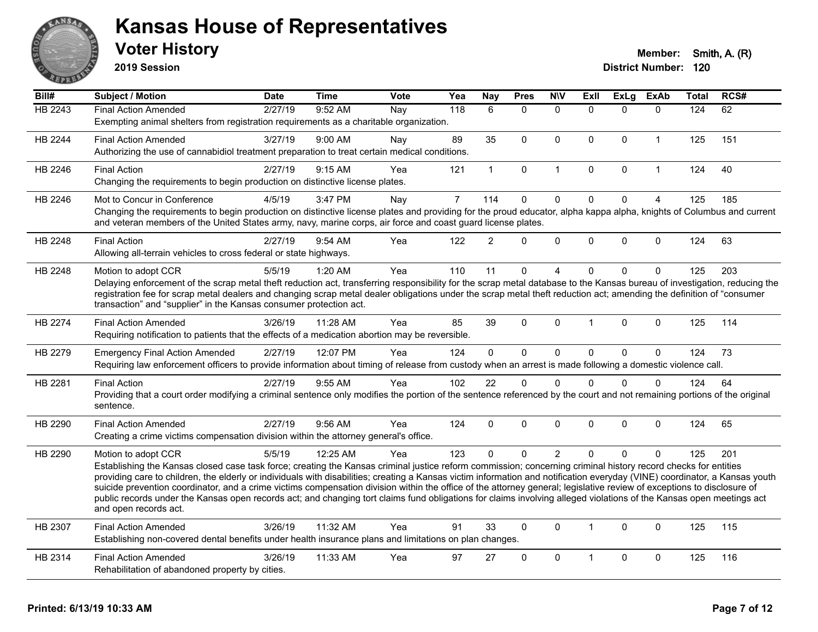

**2019 Session**

| Bill#          | <b>Subject / Motion</b>                                                                                                                                                                      | <b>Date</b> | <b>Time</b> | <b>Vote</b> | Yea            | <b>Nay</b>     | <b>Pres</b>  | <b>N\V</b>     | ExIl                 | <b>ExLg</b>  | <b>ExAb</b>    | <b>Total</b> | RCS# |
|----------------|----------------------------------------------------------------------------------------------------------------------------------------------------------------------------------------------|-------------|-------------|-------------|----------------|----------------|--------------|----------------|----------------------|--------------|----------------|--------------|------|
| <b>HB 2243</b> | <b>Final Action Amended</b>                                                                                                                                                                  | 2/27/19     | 9:52 AM     | Nay         | 118            | 6              | $\mathbf{0}$ | $\Omega$       | $\Omega$             | $\Omega$     | $\Omega$       | 124          | 62   |
|                | Exempting animal shelters from registration requirements as a charitable organization.                                                                                                       |             |             |             |                |                |              |                |                      |              |                |              |      |
| <b>HB 2244</b> | <b>Final Action Amended</b>                                                                                                                                                                  | 3/27/19     | 9:00 AM     | Nay         | 89             | 35             | $\Omega$     | $\Omega$       | $\mathbf{0}$         | $\mathbf{0}$ | $\mathbf{1}$   | 125          | 151  |
|                | Authorizing the use of cannabidiol treatment preparation to treat certain medical conditions.                                                                                                |             |             |             |                |                |              |                |                      |              |                |              |      |
| HB 2246        | <b>Final Action</b>                                                                                                                                                                          | 2/27/19     | 9:15 AM     | Yea         | 121            | $\mathbf{1}$   | $\mathbf 0$  | $\mathbf{1}$   | $\Omega$             | $\mathbf 0$  | $\mathbf{1}$   | 124          | 40   |
|                | Changing the requirements to begin production on distinctive license plates.                                                                                                                 |             |             |             |                |                |              |                |                      |              |                |              |      |
| HB 2246        | Mot to Concur in Conference                                                                                                                                                                  | 4/5/19      | 3:47 PM     | Nay         | $\overline{7}$ | 114            | $\Omega$     | $\Omega$       | $\Omega$             | $\Omega$     | $\overline{4}$ | 125          | 185  |
|                | Changing the requirements to begin production on distinctive license plates and providing for the proud educator, alpha kappa alpha, knights of Columbus and current                         |             |             |             |                |                |              |                |                      |              |                |              |      |
|                | and veteran members of the United States army, navy, marine corps, air force and coast guard license plates.                                                                                 |             |             |             |                |                |              |                |                      |              |                |              |      |
| HB 2248        | <b>Final Action</b>                                                                                                                                                                          | 2/27/19     | 9:54 AM     | Yea         | 122            | $\overline{2}$ | $\Omega$     | $\Omega$       | $\Omega$             | $\mathbf{0}$ | $\mathbf{0}$   | 124          | 63   |
|                | Allowing all-terrain vehicles to cross federal or state highways.                                                                                                                            |             |             |             |                |                |              |                |                      |              |                |              |      |
| HB 2248        | Motion to adopt CCR                                                                                                                                                                          | 5/5/19      | 1:20 AM     | Yea         | 110            | 11             | $\mathbf{0}$ | 4              | $\Omega$             | $\Omega$     | $\mathbf 0$    | 125          | 203  |
|                | Delaying enforcement of the scrap metal theft reduction act, transferring responsibility for the scrap metal database to the Kansas bureau of investigation, reducing the                    |             |             |             |                |                |              |                |                      |              |                |              |      |
|                | registration fee for scrap metal dealers and changing scrap metal dealer obligations under the scrap metal theft reduction act; amending the definition of "consumer                         |             |             |             |                |                |              |                |                      |              |                |              |      |
|                | transaction" and "supplier" in the Kansas consumer protection act.                                                                                                                           |             |             |             |                |                |              |                |                      |              |                |              |      |
| HB 2274        | <b>Final Action Amended</b>                                                                                                                                                                  | 3/26/19     | 11:28 AM    | Yea         | 85             | 39             | $\mathbf{0}$ | $\Omega$       |                      | $\Omega$     | $\mathbf{0}$   | 125          | 114  |
|                | Requiring notification to patients that the effects of a medication abortion may be reversible.                                                                                              |             |             |             |                |                |              |                |                      |              |                |              |      |
| HB 2279        | <b>Emergency Final Action Amended</b>                                                                                                                                                        | 2/27/19     | 12:07 PM    | Yea         | 124            | $\mathbf 0$    | $\mathbf 0$  | 0              | $\Omega$             | $\mathbf 0$  | $\mathbf 0$    | 124          | 73   |
|                | Requiring law enforcement officers to provide information about timing of release from custody when an arrest is made following a domestic violence call.                                    |             |             |             |                |                |              |                |                      |              |                |              |      |
| HB 2281        | <b>Final Action</b>                                                                                                                                                                          | 2/27/19     | 9:55 AM     | Yea         | 102            | 22             | $\mathbf 0$  | $\Omega$       | $\Omega$             | $\Omega$     | $\mathbf 0$    | 124          | 64   |
|                | Providing that a court order modifying a criminal sentence only modifies the portion of the sentence referenced by the court and not remaining portions of the original                      |             |             |             |                |                |              |                |                      |              |                |              |      |
|                | sentence.                                                                                                                                                                                    |             |             |             |                |                |              |                |                      |              |                |              |      |
| HB 2290        | <b>Final Action Amended</b>                                                                                                                                                                  | 2/27/19     | 9:56 AM     | Yea         | 124            | $\Omega$       | $\mathbf{0}$ | $\Omega$       | $\mathbf{0}$         | $\mathbf{0}$ | $\mathbf{0}$   | 124          | 65   |
|                | Creating a crime victims compensation division within the attorney general's office.                                                                                                         |             |             |             |                |                |              |                |                      |              |                |              |      |
| HB 2290        | Motion to adopt CCR                                                                                                                                                                          | 5/5/19      | 12:25 AM    | Yea         | 123            | $\Omega$       | $\mathbf 0$  | $\overline{c}$ | $\Omega$             | $\mathbf{0}$ | $\mathbf{0}$   | 125          | 201  |
|                | Establishing the Kansas closed case task force; creating the Kansas criminal justice reform commission; concerning criminal history record checks for entities                               |             |             |             |                |                |              |                |                      |              |                |              |      |
|                | providing care to children, the elderly or individuals with disabilities; creating a Kansas victim information and notification everyday (VINE) coordinator, a Kansas youth                  |             |             |             |                |                |              |                |                      |              |                |              |      |
|                | suicide prevention coordinator, and a crime victims compensation division within the office of the attorney general; legislative review of exceptions to disclosure of                       |             |             |             |                |                |              |                |                      |              |                |              |      |
|                | public records under the Kansas open records act; and changing tort claims fund obligations for claims involving alleged violations of the Kansas open meetings act<br>and open records act. |             |             |             |                |                |              |                |                      |              |                |              |      |
|                |                                                                                                                                                                                              |             |             |             |                |                |              |                |                      |              |                |              |      |
| HB 2307        | <b>Final Action Amended</b>                                                                                                                                                                  | 3/26/19     | 11:32 AM    | Yea         | 91             | 33             | $\Omega$     | $\Omega$       | $\blacktriangleleft$ | $\mathbf{0}$ | $\mathbf{0}$   | 125          | 115  |
|                | Establishing non-covered dental benefits under health insurance plans and limitations on plan changes.                                                                                       |             |             |             |                |                |              |                |                      |              |                |              |      |
| HB 2314        | <b>Final Action Amended</b>                                                                                                                                                                  | 3/26/19     | 11:33 AM    | Yea         | 97             | 27             | $\mathbf 0$  | 0              |                      | 0            | $\mathbf 0$    | 125          | 116  |
|                | Rehabilitation of abandoned property by cities.                                                                                                                                              |             |             |             |                |                |              |                |                      |              |                |              |      |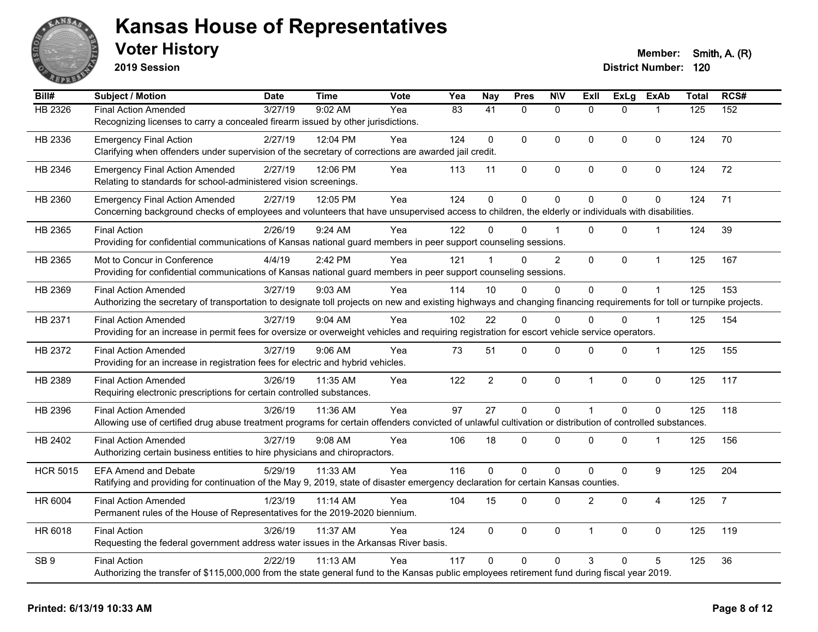

**2019 Session**

| Bill#           | Subject / Motion                                                                                                                                                       | <b>Date</b> | <b>Time</b> | Vote | Yea             | <b>Nay</b>      | <b>Pres</b>    | <b>NIV</b>     | <b>Exll</b>    | <b>ExLg</b> | <b>ExAb</b>      | <b>Total</b> | RCS#           |
|-----------------|------------------------------------------------------------------------------------------------------------------------------------------------------------------------|-------------|-------------|------|-----------------|-----------------|----------------|----------------|----------------|-------------|------------------|--------------|----------------|
| HB 2326         | <b>Final Action Amended</b>                                                                                                                                            | 3/27/19     | 9:02 AM     | Yea  | $\overline{83}$ | $\overline{41}$ | $\mathbf{0}$   | $\mathbf{0}$   | $\Omega$       | $\Omega$    |                  | 125          | 152            |
|                 | Recognizing licenses to carry a concealed firearm issued by other jurisdictions.                                                                                       |             |             |      |                 |                 |                |                |                |             |                  |              |                |
| HB 2336         | <b>Emergency Final Action</b>                                                                                                                                          | 2/27/19     | 12:04 PM    | Yea  | 124             | 0               | $\Omega$       | $\mathbf{0}$   | 0              | 0           | $\mathbf 0$      | 124          | 70             |
|                 | Clarifying when offenders under supervision of the secretary of corrections are awarded jail credit.                                                                   |             |             |      |                 |                 |                |                |                |             |                  |              |                |
| HB 2346         | <b>Emergency Final Action Amended</b>                                                                                                                                  | 2/27/19     | 12:06 PM    | Yea  | 113             | 11              | 0              | $\pmb{0}$      | 0              | 0           | 0                | 124          | 72             |
|                 | Relating to standards for school-administered vision screenings.                                                                                                       |             |             |      |                 |                 |                |                |                |             |                  |              |                |
| HB 2360         | <b>Emergency Final Action Amended</b>                                                                                                                                  | 2/27/19     | 12:05 PM    | Yea  | 124             | $\mathbf 0$     | $\overline{0}$ | $\mathbf 0$    | $\overline{0}$ | 0           | $\mathbf 0$      | 124          | 71             |
|                 | Concerning background checks of employees and volunteers that have unsupervised access to children, the elderly or individuals with disabilities.                      |             |             |      |                 |                 |                |                |                |             |                  |              |                |
| HB 2365         | <b>Final Action</b>                                                                                                                                                    | 2/26/19     | 9:24 AM     | Yea  | 122             | 0               | $\Omega$       |                | 0              | 0           | -1               | 124          | 39             |
|                 | Providing for confidential communications of Kansas national guard members in peer support counseling sessions.                                                        |             |             |      |                 |                 |                |                |                |             |                  |              |                |
| HB 2365         | Mot to Concur in Conference                                                                                                                                            | 4/4/19      | 2:42 PM     | Yea  | 121             |                 | $\Omega$       | $\overline{c}$ | 0              | 0           | $\mathbf{1}$     | 125          | 167            |
|                 | Providing for confidential communications of Kansas national guard members in peer support counseling sessions.                                                        |             |             |      |                 |                 |                |                |                |             |                  |              |                |
| HB 2369         | <b>Final Action Amended</b>                                                                                                                                            | 3/27/19     | 9:03 AM     | Yea  | 114             | 10              | $\Omega$       | $\mathbf{0}$   | $\overline{0}$ | 0           | $\mathbf 1$      | 125          | 153            |
|                 | Authorizing the secretary of transportation to designate toll projects on new and existing highways and changing financing requirements for toll or turnpike projects. |             |             |      |                 |                 |                |                |                |             |                  |              |                |
| HB 2371         | <b>Final Action Amended</b>                                                                                                                                            | 3/27/19     | 9:04 AM     | Yea  | 102             | 22              | $\Omega$       | $\Omega$       | $\Omega$       | $\Omega$    | $\overline{1}$   | 125          | 154            |
|                 | Providing for an increase in permit fees for oversize or overweight vehicles and requiring registration for escort vehicle service operators.                          |             |             |      |                 |                 |                |                |                |             |                  |              |                |
| HB 2372         | <b>Final Action Amended</b>                                                                                                                                            | 3/27/19     | 9:06 AM     | Yea  | 73              | 51              | 0              | $\mathbf 0$    | 0              | 0           | $\mathbf{1}$     | 125          | 155            |
|                 | Providing for an increase in registration fees for electric and hybrid vehicles.                                                                                       |             |             |      |                 |                 |                |                |                |             |                  |              |                |
| HB 2389         | <b>Final Action Amended</b>                                                                                                                                            | 3/26/19     | 11:35 AM    | Yea  | 122             | $\overline{2}$  | 0              | $\mathbf 0$    | $\mathbf{1}$   | $\mathbf 0$ | $\mathbf 0$      | 125          | 117            |
|                 | Requiring electronic prescriptions for certain controlled substances.                                                                                                  |             |             |      |                 |                 |                |                |                |             |                  |              |                |
| HB 2396         | <b>Final Action Amended</b>                                                                                                                                            | 3/26/19     | 11:36 AM    | Yea  | 97              | 27              | $\overline{0}$ | $\mathbf 0$    |                | $\Omega$    | $\mathbf{0}$     | 125          | 118            |
|                 | Allowing use of certified drug abuse treatment programs for certain offenders convicted of unlawful cultivation or distribution of controlled substances.              |             |             |      |                 |                 |                |                |                |             |                  |              |                |
| HB 2402         | <b>Final Action Amended</b>                                                                                                                                            | 3/27/19     | $9:08$ AM   | Yea  | 106             | 18              | 0              | $\mathbf{0}$   | $\Omega$       | 0           | $\mathbf{1}$     | 125          | 156            |
|                 | Authorizing certain business entities to hire physicians and chiropractors.                                                                                            |             |             |      |                 |                 |                |                |                |             |                  |              |                |
| <b>HCR 5015</b> | <b>EFA Amend and Debate</b>                                                                                                                                            | 5/29/19     | 11:33 AM    | Yea  | 116             | $\overline{0}$  | $\overline{0}$ | $\pmb{0}$      | 0              | $\mathbf 0$ | $\boldsymbol{9}$ | 125          | 204            |
|                 | Ratifying and providing for continuation of the May 9, 2019, state of disaster emergency declaration for certain Kansas counties.                                      |             |             |      |                 |                 |                |                |                |             |                  |              |                |
| HR 6004         | <b>Final Action Amended</b>                                                                                                                                            | 1/23/19     | 11:14 AM    | Yea  | 104             | 15              | 0              | $\mathbf 0$    | $\overline{2}$ | $\mathbf 0$ | $\overline{4}$   | 125          | $\overline{7}$ |
|                 | Permanent rules of the House of Representatives for the 2019-2020 biennium.                                                                                            |             |             |      |                 |                 |                |                |                |             |                  |              |                |
| HR 6018         | <b>Final Action</b>                                                                                                                                                    | 3/26/19     | 11:37 AM    | Yea  | 124             | $\Omega$        | $\Omega$       | $\mathbf 0$    | $\mathbf{1}$   | $\Omega$    | $\mathbf 0$      | 125          | 119            |
|                 | Requesting the federal government address water issues in the Arkansas River basis.                                                                                    |             |             |      |                 |                 |                |                |                |             |                  |              |                |
| SB <sub>9</sub> | <b>Final Action</b>                                                                                                                                                    | 2/22/19     | 11:13 AM    | Yea  | 117             | $\Omega$        | $\Omega$       | $\Omega$       | 3              | $\Omega$    | 5                | 125          | 36             |
|                 | Authorizing the transfer of \$115,000,000 from the state general fund to the Kansas public employees retirement fund during fiscal year 2019.                          |             |             |      |                 |                 |                |                |                |             |                  |              |                |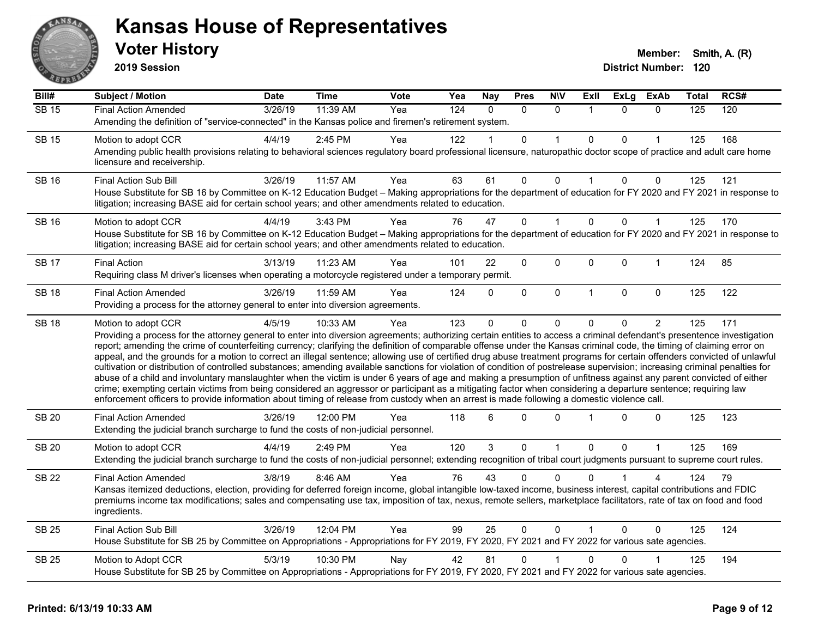

**2019 Session**

| Bill#        | Subject / Motion                                                                                                                                                                                                                                                                                                                                                                                                                                                                                                                                                                                                                                                                                                                                                                                                                                                                                                                                                                                                         | <b>Date</b> | <b>Time</b> | Vote | Yea | <b>Nay</b>   | <b>Pres</b>  | <b>N\V</b>   | Exll           | ExLg         | <b>ExAb</b>    | <b>Total</b> | RCS# |
|--------------|--------------------------------------------------------------------------------------------------------------------------------------------------------------------------------------------------------------------------------------------------------------------------------------------------------------------------------------------------------------------------------------------------------------------------------------------------------------------------------------------------------------------------------------------------------------------------------------------------------------------------------------------------------------------------------------------------------------------------------------------------------------------------------------------------------------------------------------------------------------------------------------------------------------------------------------------------------------------------------------------------------------------------|-------------|-------------|------|-----|--------------|--------------|--------------|----------------|--------------|----------------|--------------|------|
| <b>SB 15</b> | <b>Final Action Amended</b>                                                                                                                                                                                                                                                                                                                                                                                                                                                                                                                                                                                                                                                                                                                                                                                                                                                                                                                                                                                              | 3/26/19     | 11:39 AM    | Yea  | 124 | $\Omega$     | $\Omega$     | $\mathbf{0}$ | $\overline{1}$ | $\Omega$     | $\mathbf{0}$   | 125          | 120  |
|              | Amending the definition of "service-connected" in the Kansas police and firemen's retirement system.                                                                                                                                                                                                                                                                                                                                                                                                                                                                                                                                                                                                                                                                                                                                                                                                                                                                                                                     |             |             |      |     |              |              |              |                |              |                |              |      |
| <b>SB 15</b> | Motion to adopt CCR                                                                                                                                                                                                                                                                                                                                                                                                                                                                                                                                                                                                                                                                                                                                                                                                                                                                                                                                                                                                      | 4/4/19      | 2:45 PM     | Yea  | 122 |              | 0            |              | $\Omega$       | 0            |                | 125          | 168  |
|              | Amending public health provisions relating to behavioral sciences regulatory board professional licensure, naturopathic doctor scope of practice and adult care home<br>licensure and receivership.                                                                                                                                                                                                                                                                                                                                                                                                                                                                                                                                                                                                                                                                                                                                                                                                                      |             |             |      |     |              |              |              |                |              |                |              |      |
| <b>SB 16</b> | Final Action Sub Bill                                                                                                                                                                                                                                                                                                                                                                                                                                                                                                                                                                                                                                                                                                                                                                                                                                                                                                                                                                                                    | 3/26/19     | 11:57 AM    | Yea  | 63  | 61           | $\Omega$     | $\Omega$     | $\mathbf{1}$   | $\mathbf{0}$ | $\Omega$       | 125          | 121  |
|              | House Substitute for SB 16 by Committee on K-12 Education Budget - Making appropriations for the department of education for FY 2020 and FY 2021 in response to<br>litigation; increasing BASE aid for certain school years; and other amendments related to education.                                                                                                                                                                                                                                                                                                                                                                                                                                                                                                                                                                                                                                                                                                                                                  |             |             |      |     |              |              |              |                |              |                |              |      |
| <b>SB 16</b> | Motion to adopt CCR                                                                                                                                                                                                                                                                                                                                                                                                                                                                                                                                                                                                                                                                                                                                                                                                                                                                                                                                                                                                      | 4/4/19      | 3:43 PM     | Yea  | 76  | 47           | 0            |              | $\mathbf 0$    | 0            | 1              | 125          | 170  |
|              | House Substitute for SB 16 by Committee on K-12 Education Budget - Making appropriations for the department of education for FY 2020 and FY 2021 in response to<br>litigation; increasing BASE aid for certain school years; and other amendments related to education.                                                                                                                                                                                                                                                                                                                                                                                                                                                                                                                                                                                                                                                                                                                                                  |             |             |      |     |              |              |              |                |              |                |              |      |
| <b>SB 17</b> | <b>Final Action</b>                                                                                                                                                                                                                                                                                                                                                                                                                                                                                                                                                                                                                                                                                                                                                                                                                                                                                                                                                                                                      | 3/13/19     | 11:23 AM    | Yea  | 101 | 22           | 0            | $\mathbf 0$  | $\Omega$       | $\Omega$     | 1              | 124          | 85   |
|              | Requiring class M driver's licenses when operating a motorcycle registered under a temporary permit.                                                                                                                                                                                                                                                                                                                                                                                                                                                                                                                                                                                                                                                                                                                                                                                                                                                                                                                     |             |             |      |     |              |              |              |                |              |                |              |      |
| <b>SB 18</b> | <b>Final Action Amended</b>                                                                                                                                                                                                                                                                                                                                                                                                                                                                                                                                                                                                                                                                                                                                                                                                                                                                                                                                                                                              | 3/26/19     | 11:59 AM    | Yea  | 124 | $\Omega$     | 0            | $\mathbf 0$  | $\overline{1}$ | 0            | $\mathbf 0$    | 125          | 122  |
|              | Providing a process for the attorney general to enter into diversion agreements.                                                                                                                                                                                                                                                                                                                                                                                                                                                                                                                                                                                                                                                                                                                                                                                                                                                                                                                                         |             |             |      |     |              |              |              |                |              |                |              |      |
| <b>SB 18</b> | Motion to adopt CCR                                                                                                                                                                                                                                                                                                                                                                                                                                                                                                                                                                                                                                                                                                                                                                                                                                                                                                                                                                                                      | 4/5/19      | 10:33 AM    | Yea  | 123 | 0            | 0            | $\Omega$     | $\Omega$       | $\Omega$     | $\overline{2}$ | 125          | 171  |
|              | Providing a process for the attorney general to enter into diversion agreements; authorizing certain entities to access a criminal defendant's presentence investigation                                                                                                                                                                                                                                                                                                                                                                                                                                                                                                                                                                                                                                                                                                                                                                                                                                                 |             |             |      |     |              |              |              |                |              |                |              |      |
|              | report; amending the crime of counterfeiting currency; clarifying the definition of comparable offense under the Kansas criminal code, the timing of claiming error on<br>appeal, and the grounds for a motion to correct an illegal sentence; allowing use of certified drug abuse treatment programs for certain offenders convicted of unlawful<br>cultivation or distribution of controlled substances; amending available sanctions for violation of condition of postrelease supervision; increasing criminal penalties for<br>abuse of a child and involuntary manslaughter when the victim is under 6 years of age and making a presumption of unfitness against any parent convicted of either<br>crime; exempting certain victims from being considered an aggressor or participant as a mitigating factor when considering a departure sentence; requiring law<br>enforcement officers to provide information about timing of release from custody when an arrest is made following a domestic violence call. |             |             |      |     |              |              |              |                |              |                |              |      |
| <b>SB 20</b> | <b>Final Action Amended</b><br>Extending the judicial branch surcharge to fund the costs of non-judicial personnel.                                                                                                                                                                                                                                                                                                                                                                                                                                                                                                                                                                                                                                                                                                                                                                                                                                                                                                      | 3/26/19     | 12:00 PM    | Yea  | 118 | 6            | $\Omega$     | $\Omega$     |                | 0            | $\mathbf 0$    | 125          | 123  |
| <b>SB 20</b> | Motion to adopt CCR                                                                                                                                                                                                                                                                                                                                                                                                                                                                                                                                                                                                                                                                                                                                                                                                                                                                                                                                                                                                      | 4/4/19      | 2:49 PM     | Yea  | 120 | $\mathbf{3}$ | $\mathbf{0}$ | $\mathbf{1}$ | $\mathbf 0$    | 0            | $\mathbf{1}$   | 125          | 169  |
|              | Extending the judicial branch surcharge to fund the costs of non-judicial personnel; extending recognition of tribal court judgments pursuant to supreme court rules.                                                                                                                                                                                                                                                                                                                                                                                                                                                                                                                                                                                                                                                                                                                                                                                                                                                    |             |             |      |     |              |              |              |                |              |                |              |      |
| <b>SB 22</b> | <b>Final Action Amended</b>                                                                                                                                                                                                                                                                                                                                                                                                                                                                                                                                                                                                                                                                                                                                                                                                                                                                                                                                                                                              | 3/8/19      | 8:46 AM     | Yea  | 76  | 43           | $\Omega$     | $\Omega$     |                |              |                | 124          | 79   |
|              | Kansas itemized deductions, election, providing for deferred foreign income, global intangible low-taxed income, business interest, capital contributions and FDIC<br>premiums income tax modifications; sales and compensating use tax, imposition of tax, nexus, remote sellers, marketplace facilitators, rate of tax on food and food<br>ingredients.                                                                                                                                                                                                                                                                                                                                                                                                                                                                                                                                                                                                                                                                |             |             |      |     |              |              |              |                |              |                |              |      |
| <b>SB 25</b> | Final Action Sub Bill                                                                                                                                                                                                                                                                                                                                                                                                                                                                                                                                                                                                                                                                                                                                                                                                                                                                                                                                                                                                    | 3/26/19     | 12:04 PM    | Yea  | 99  | 25           | 0            | $\mathbf 0$  | $\overline{1}$ | $\Omega$     | 0              | 125          | 124  |
|              | House Substitute for SB 25 by Committee on Appropriations - Appropriations for FY 2019, FY 2020, FY 2021 and FY 2022 for various sate agencies.                                                                                                                                                                                                                                                                                                                                                                                                                                                                                                                                                                                                                                                                                                                                                                                                                                                                          |             |             |      |     |              |              |              |                |              |                |              |      |
| <b>SB 25</b> | Motion to Adopt CCR                                                                                                                                                                                                                                                                                                                                                                                                                                                                                                                                                                                                                                                                                                                                                                                                                                                                                                                                                                                                      | 5/3/19      | 10:30 PM    | Nay  | 42  | 81           | $\mathbf 0$  |              | $\Omega$       | $\Omega$     |                | 125          | 194  |
|              | House Substitute for SB 25 by Committee on Appropriations - Appropriations for FY 2019, FY 2020, FY 2021 and FY 2022 for various sate agencies.                                                                                                                                                                                                                                                                                                                                                                                                                                                                                                                                                                                                                                                                                                                                                                                                                                                                          |             |             |      |     |              |              |              |                |              |                |              |      |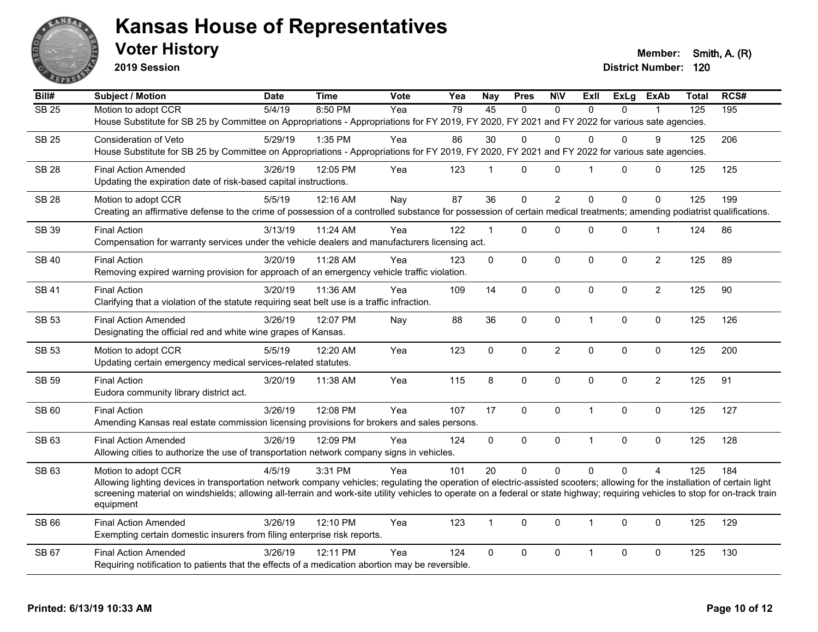

**2019 Session**

**Voter History Member: Smith, A. (R)** 

| $\overline{Bill#}$ | <b>Subject / Motion</b>                                                                                                                                                                     | <b>Date</b> | <b>Time</b> | <b>Vote</b> | Yea | <b>Nay</b>     | <b>Pres</b>    | <b>NIV</b>     | ExIl           | <b>ExLg</b>  | <b>ExAb</b>      | <b>Total</b> | RCS# |
|--------------------|---------------------------------------------------------------------------------------------------------------------------------------------------------------------------------------------|-------------|-------------|-------------|-----|----------------|----------------|----------------|----------------|--------------|------------------|--------------|------|
| $\overline{SB25}$  | Motion to adopt CCR                                                                                                                                                                         | 5/4/19      | 8:50 PM     | Yea         | 79  | 45             | $\Omega$       | $\Omega$       | $\Omega$       | $\Omega$     |                  | 125          | 195  |
|                    | House Substitute for SB 25 by Committee on Appropriations - Appropriations for FY 2019, FY 2020, FY 2021 and FY 2022 for various sate agencies.                                             |             |             |             |     |                |                |                |                |              |                  |              |      |
| <b>SB 25</b>       | Consideration of Veto                                                                                                                                                                       | 5/29/19     | 1:35 PM     | Yea         | 86  | 30             | 0              | $\mathbf 0$    | $\Omega$       | $\Omega$     | 9                | 125          | 206  |
|                    | House Substitute for SB 25 by Committee on Appropriations - Appropriations for FY 2019, FY 2020, FY 2021 and FY 2022 for various sate agencies.                                             |             |             |             |     |                |                |                |                |              |                  |              |      |
| <b>SB 28</b>       | <b>Final Action Amended</b>                                                                                                                                                                 | 3/26/19     | 12:05 PM    | Yea         | 123 | $\mathbf 1$    | 0              | $\mathbf 0$    | $\overline{1}$ | $\Omega$     | $\mathbf 0$      | 125          | 125  |
|                    | Updating the expiration date of risk-based capital instructions.                                                                                                                            |             |             |             |     |                |                |                |                |              |                  |              |      |
| <b>SB 28</b>       | Motion to adopt CCR                                                                                                                                                                         | 5/5/19      | 12:16 AM    | Nay         | 87  | 36             | $\overline{0}$ | $\overline{2}$ | 0              | 0            | $\mathbf 0$      | 125          | 199  |
|                    | Creating an affirmative defense to the crime of possession of a controlled substance for possession of certain medical treatments; amending podiatrist qualifications.                      |             |             |             |     |                |                |                |                |              |                  |              |      |
|                    |                                                                                                                                                                                             |             |             |             |     |                |                |                |                |              |                  |              |      |
| SB 39              | <b>Final Action</b><br>Compensation for warranty services under the vehicle dealers and manufacturers licensing act.                                                                        | 3/13/19     | 11:24 AM    | Yea         | 122 | $\mathbf 1$    | $\Omega$       | $\mathbf 0$    | $\Omega$       | 0            | $\mathbf 1$      | 124          | 86   |
|                    |                                                                                                                                                                                             |             |             |             |     |                |                |                |                |              |                  |              |      |
| <b>SB 40</b>       | <b>Final Action</b>                                                                                                                                                                         | 3/20/19     | 11:28 AM    | Yea         | 123 | 0              | $\Omega$       | 0              | $\Omega$       | $\Omega$     | $\boldsymbol{2}$ | 125          | 89   |
|                    | Removing expired warning provision for approach of an emergency vehicle traffic violation.                                                                                                  |             |             |             |     |                |                |                |                |              |                  |              |      |
| <b>SB 41</b>       | <b>Final Action</b>                                                                                                                                                                         | 3/20/19     | 11:36 AM    | Yea         | 109 | 14             | 0              | $\mathbf 0$    | 0              | 0            | $\overline{c}$   | 125          | 90   |
|                    | Clarifying that a violation of the statute requiring seat belt use is a traffic infraction.                                                                                                 |             |             |             |     |                |                |                |                |              |                  |              |      |
| <b>SB 53</b>       | <b>Final Action Amended</b>                                                                                                                                                                 | 3/26/19     | 12:07 PM    | Nay         | 88  | 36             | 0              | $\mathbf 0$    | $\mathbf{1}$   | 0            | 0                | 125          | 126  |
|                    | Designating the official red and white wine grapes of Kansas.                                                                                                                               |             |             |             |     |                |                |                |                |              |                  |              |      |
| <b>SB 53</b>       | Motion to adopt CCR                                                                                                                                                                         | 5/5/19      | 12:20 AM    | Yea         | 123 | 0              | $\mathbf 0$    | $\overline{c}$ | 0              | 0            | 0                | 125          | 200  |
|                    | Updating certain emergency medical services-related statutes.                                                                                                                               |             |             |             |     |                |                |                |                |              |                  |              |      |
| <b>SB 59</b>       | <b>Final Action</b>                                                                                                                                                                         | 3/20/19     | 11:38 AM    | Yea         | 115 | 8              | 0              | $\pmb{0}$      | $\Omega$       | 0            | $\overline{2}$   | 125          | 91   |
|                    | Eudora community library district act.                                                                                                                                                      |             |             |             |     |                |                |                |                |              |                  |              |      |
|                    |                                                                                                                                                                                             |             |             |             |     |                |                |                |                |              |                  |              |      |
| SB 60              | <b>Final Action</b><br>Amending Kansas real estate commission licensing provisions for brokers and sales persons.                                                                           | 3/26/19     | 12:08 PM    | Yea         | 107 | 17             | $\mathbf 0$    | $\mathbf 0$    | $\mathbf{1}$   | 0            | 0                | 125          | 127  |
|                    |                                                                                                                                                                                             |             |             |             |     |                |                |                |                |              |                  |              |      |
| SB 63              | <b>Final Action Amended</b>                                                                                                                                                                 | 3/26/19     | 12:09 PM    | Yea         | 124 | $\overline{0}$ | $\mathbf 0$    | $\pmb{0}$      | $\mathbf{1}$   | 0            | $\mathbf 0$      | 125          | 128  |
|                    | Allowing cities to authorize the use of transportation network company signs in vehicles.                                                                                                   |             |             |             |     |                |                |                |                |              |                  |              |      |
| SB 63              | Motion to adopt CCR                                                                                                                                                                         | 4/5/19      | 3:31 PM     | Yea         | 101 | 20             | $\overline{0}$ | $\Omega$       | $\Omega$       | $\Omega$     | $\Delta$         | 125          | 184  |
|                    | Allowing lighting devices in transportation network company vehicles; regulating the operation of electric-assisted scooters; allowing for the installation of certain light                |             |             |             |     |                |                |                |                |              |                  |              |      |
|                    | screening material on windshields; allowing all-terrain and work-site utility vehicles to operate on a federal or state highway; requiring vehicles to stop for on-track train<br>equipment |             |             |             |     |                |                |                |                |              |                  |              |      |
|                    |                                                                                                                                                                                             |             |             |             |     |                |                |                |                |              |                  |              |      |
| SB 66              | <b>Final Action Amended</b>                                                                                                                                                                 | 3/26/19     | 12:10 PM    | Yea         | 123 | $\mathbf{1}$   | 0              | $\mathbf 0$    | $\overline{1}$ | $\mathbf{0}$ | 0                | 125          | 129  |
|                    | Exempting certain domestic insurers from filing enterprise risk reports.                                                                                                                    |             |             |             |     |                |                |                |                |              |                  |              |      |
| SB 67              | <b>Final Action Amended</b>                                                                                                                                                                 | 3/26/19     | 12:11 PM    | Yea         | 124 | $\mathbf 0$    | 0              | $\mathbf 0$    | $\mathbf{1}$   | 0            | 0                | 125          | 130  |
|                    | Requiring notification to patients that the effects of a medication abortion may be reversible.                                                                                             |             |             |             |     |                |                |                |                |              |                  |              |      |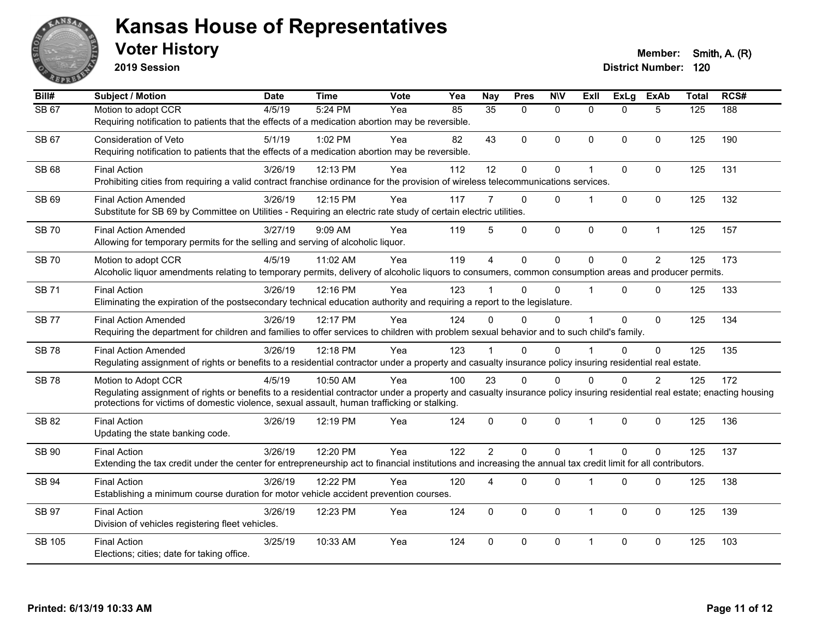

**2019 Session**

| Bill#         | <b>Subject / Motion</b>                                                                                                                                                                                                                                                                          | <b>Date</b> | <b>Time</b> | Vote | Yea | <b>Nay</b>      | <b>Pres</b>  | <b>NIV</b>   | ExII           | ExLg         | <b>ExAb</b>    | <b>Total</b> | RCS# |
|---------------|--------------------------------------------------------------------------------------------------------------------------------------------------------------------------------------------------------------------------------------------------------------------------------------------------|-------------|-------------|------|-----|-----------------|--------------|--------------|----------------|--------------|----------------|--------------|------|
| <b>SB 67</b>  | Motion to adopt CCR<br>Requiring notification to patients that the effects of a medication abortion may be reversible.                                                                                                                                                                           | 4/5/19      | 5:24 PM     | Yea  | 85  | $\overline{35}$ | $\Omega$     | $\mathbf{0}$ | $\Omega$       | $\Omega$     | 5              | 125          | 188  |
| SB 67         | Consideration of Veto<br>Requiring notification to patients that the effects of a medication abortion may be reversible.                                                                                                                                                                         | 5/1/19      | 1:02 PM     | Yea  | 82  | 43              | $\mathbf{0}$ | $\mathbf{0}$ | $\Omega$       | $\Omega$     | $\mathbf{0}$   | 125          | 190  |
| <b>SB 68</b>  | <b>Final Action</b><br>Prohibiting cities from requiring a valid contract franchise ordinance for the provision of wireless telecommunications services.                                                                                                                                         | 3/26/19     | 12:13 PM    | Yea  | 112 | 12              | $\mathbf 0$  | 0            |                | $\mathbf 0$  | $\mathbf{0}$   | 125          | 131  |
| SB 69         | <b>Final Action Amended</b><br>Substitute for SB 69 by Committee on Utilities - Requiring an electric rate study of certain electric utilities.                                                                                                                                                  | 3/26/19     | 12:15 PM    | Yea  | 117 | 7               | $\Omega$     | $\Omega$     |                | $\mathbf{0}$ | $\mathbf{0}$   | 125          | 132  |
| <b>SB70</b>   | <b>Final Action Amended</b><br>Allowing for temporary permits for the selling and serving of alcoholic liquor.                                                                                                                                                                                   | 3/27/19     | 9:09 AM     | Yea  | 119 | 5               | $\mathbf 0$  | $\mathbf 0$  | $\mathbf 0$    | $\pmb{0}$    | $\mathbf{1}$   | 125          | 157  |
| <b>SB70</b>   | Motion to adopt CCR<br>Alcoholic liquor amendments relating to temporary permits, delivery of alcoholic liquors to consumers, common consumption areas and producer permits.                                                                                                                     | 4/5/19      | 11:02 AM    | Yea  | 119 | $\overline{A}$  | $\mathbf{0}$ | $\Omega$     | $\Omega$       | $\Omega$     | $\overline{2}$ | 125          | 173  |
| <b>SB71</b>   | <b>Final Action</b><br>Eliminating the expiration of the postsecondary technical education authority and requiring a report to the legislature.                                                                                                                                                  | 3/26/19     | 12:16 PM    | Yea  | 123 |                 | $\Omega$     | 0            |                | $\mathbf 0$  | $\mathbf{0}$   | 125          | 133  |
| <b>SB77</b>   | <b>Final Action Amended</b><br>Requiring the department for children and families to offer services to children with problem sexual behavior and to such child's family.                                                                                                                         | 3/26/19     | 12:17 PM    | Yea  | 124 | $\Omega$        | $\Omega$     | 0            |                | $\mathbf 0$  | $\mathbf{0}$   | 125          | 134  |
| <b>SB78</b>   | <b>Final Action Amended</b><br>Regulating assignment of rights or benefits to a residential contractor under a property and casualty insurance policy insuring residential real estate.                                                                                                          | 3/26/19     | 12:18 PM    | Yea  | 123 |                 | $\mathbf{0}$ | $\Omega$     |                | $\mathbf{0}$ | $\mathbf 0$    | 125          | 135  |
| <b>SB78</b>   | Motion to Adopt CCR<br>Regulating assignment of rights or benefits to a residential contractor under a property and casualty insurance policy insuring residential real estate; enacting housing<br>protections for victims of domestic violence, sexual assault, human trafficking or stalking. | 4/5/19      | 10:50 AM    | Yea  | 100 | 23              | $\Omega$     | $\Omega$     | $\Omega$       | $\Omega$     | 2              | 125          | 172  |
| SB 82         | <b>Final Action</b><br>Updating the state banking code.                                                                                                                                                                                                                                          | 3/26/19     | 12:19 PM    | Yea  | 124 | $\mathbf{0}$    | $\mathbf 0$  | 0            | $\overline{1}$ | $\mathbf 0$  | $\mathbf 0$    | 125          | 136  |
| SB 90         | <b>Final Action</b><br>Extending the tax credit under the center for entrepreneurship act to financial institutions and increasing the annual tax credit limit for all contributors.                                                                                                             | 3/26/19     | 12:20 PM    | Yea  | 122 | $\overline{2}$  | $\mathbf{0}$ | $\mathbf{0}$ |                | $\mathbf{0}$ | $\mathbf{0}$   | 125          | 137  |
| SB 94         | <b>Final Action</b><br>Establishing a minimum course duration for motor vehicle accident prevention courses.                                                                                                                                                                                     | 3/26/19     | 12:22 PM    | Yea  | 120 | 4               | $\mathbf{0}$ | 0            |                | $\mathbf 0$  | $\mathbf 0$    | 125          | 138  |
| <b>SB 97</b>  | <b>Final Action</b><br>Division of vehicles registering fleet vehicles.                                                                                                                                                                                                                          | 3/26/19     | 12:23 PM    | Yea  | 124 | $\mathbf 0$     | $\mathbf{0}$ | $\Omega$     | $\mathbf 1$    | $\mathbf 0$  | $\mathbf 0$    | 125          | 139  |
| <b>SB 105</b> | <b>Final Action</b><br>Elections; cities; date for taking office.                                                                                                                                                                                                                                | 3/25/19     | 10:33 AM    | Yea  | 124 | $\Omega$        | $\mathbf{0}$ | $\Omega$     | 1              | $\mathbf 0$  | $\mathbf{0}$   | 125          | 103  |